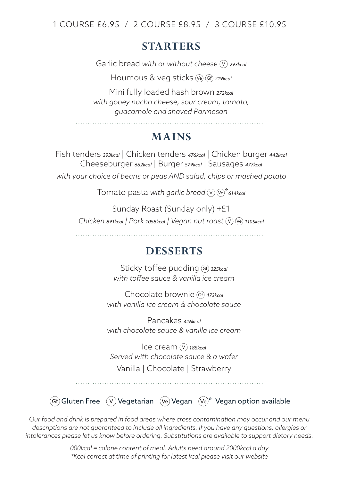1 COURSE £6.95 / 2 COURSE £8.95 / 3 COURSE £10.95

## **STARTERS**

Garlic bread with or without cheese  $\widehat{V}$  293kcal

Houmous & veg sticks Ve Gf *219kcal*

Mini fully loaded hash brown *272kcal with gooey nacho cheese, sour cream, tomato, guacamole and shaved Parmesan*

## **MAINS**

Fish tenders *393kcal* | Chicken tenders *476kcal* | Chicken burger *442kcal* Cheeseburger *662kcal* | Burger *579kcal* | Sausages *477kcal with your choice of beans or peas AND salad, chips or mashed potato* 

Tomato pasta with garlic bread  $(\nabla)$  (Ve)\* 614kcal

Sunday Roast (Sunday only) +£1 *Chicken 891kcal* | Pork 1058kcal | Vegan nut roast  $(\nabla)$  (Ve) 1105kcal

## **DESSERTS**

Sticky toffee pudding Gf) 325kcal *with toffee sauce & vanilla ice cream* 

Chocolate brownie (Gf) 473kcal *with vanilla ice cream & chocolate sauce*

Pancakes *416kcal with chocolate sauce & vanilla ice cream*

Ice cream (V) 185kcal *Served with chocolate sauce & a wafer* Vanilla | Chocolate | Strawberry

 $\widehat{(G)}$  Gluten Free  $\widehat{V}$  Vegetarian  $\widehat{V}$ e Vegan  $\widehat{V}$ e $\widehat{V}$ \* Vegan option available

*Our food and drink is prepared in food areas where cross contamination may occur and our menu descriptions are not guaranteed to include all ingredients. If you have any questions, allergies or intolerances please let us know before ordering. Substitutions are available to support dietary needs.*

> *000kcal = calorie content of meal. Adults need around 2000kcal a day \*Kcal correct at time of printing for latest kcal please visit our website*